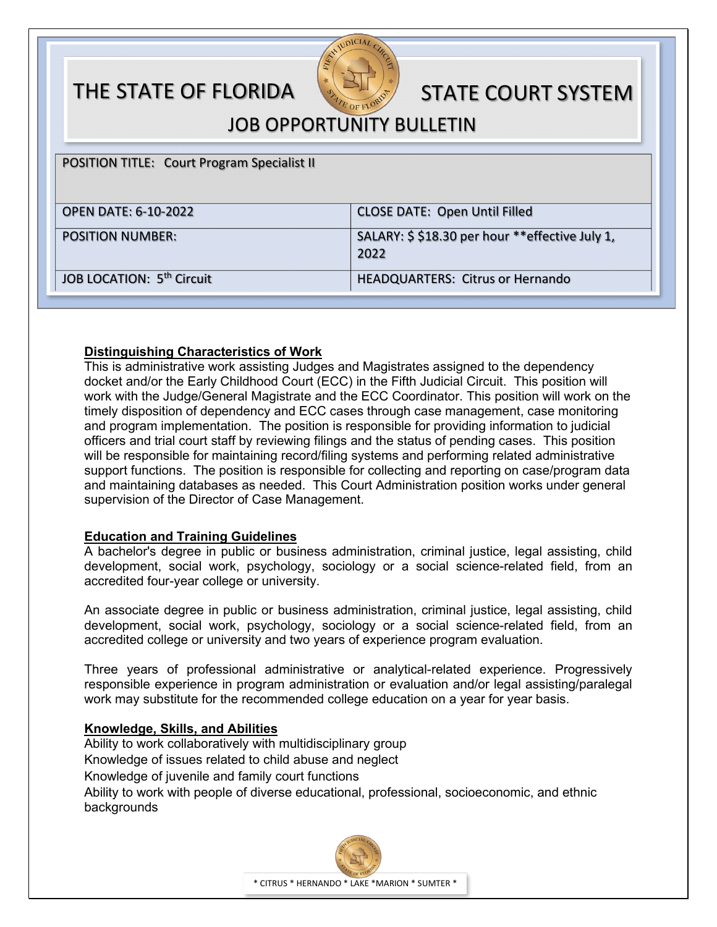# THE STATE OF FLORIDA STATE COURT SYSTEM



JOB OPPORTUNITY BULLETIN

POSITION TITLE: Court Program Specialist II

| <b>OPEN DATE: 6-10-2022</b>           | <b>CLOSE DATE: Open Until Filled</b>                   |
|---------------------------------------|--------------------------------------------------------|
| <b>POSITION NUMBER:</b>               | SALARY: \$\$18.30 per hour **effective July 1,<br>2022 |
| JOB LOCATION: 5 <sup>th</sup> Circuit | <b>HEADQUARTERS: Citrus or Hernando</b>                |

# **Distinguishing Characteristics of Work**

This is administrative work assisting Judges and Magistrates assigned to the dependency docket and/or the Early Childhood Court (ECC) in the Fifth Judicial Circuit. This position will work with the Judge/General Magistrate and the ECC Coordinator. This position will work on the timely disposition of dependency and ECC cases through case management, case monitoring and program implementation. The position is responsible for providing information to judicial officers and trial court staff by reviewing filings and the status of pending cases. This position will be responsible for maintaining record/filing systems and performing related administrative support functions. The position is responsible for collecting and reporting on case/program data and maintaining databases as needed. This Court Administration position works under general supervision of the Director of Case Management.

# **Education and Training Guidelines**

A bachelor's degree in public or business administration, criminal justice, legal assisting, child development, social work, psychology, sociology or a social science-related field, from an accredited four-year college or university.

An associate degree in public or business administration, criminal justice, legal assisting, child development, social work, psychology, sociology or a social science-related field, from an accredited college or university and two years of experience program evaluation.

Three years of professional administrative or analytical-related experience. Progressively responsible experience in program administration or evaluation and/or legal assisting/paralegal work may substitute for the recommended college education on a year for year basis.

#### **Knowledge, Skills, and Abilities**

Ability to work collaboratively with multidisciplinary group Knowledge of issues related to child abuse and neglect Knowledge of juvenile and family court functions Ability to work with people of diverse educational, professional, socioeconomic, and ethnic backgrounds